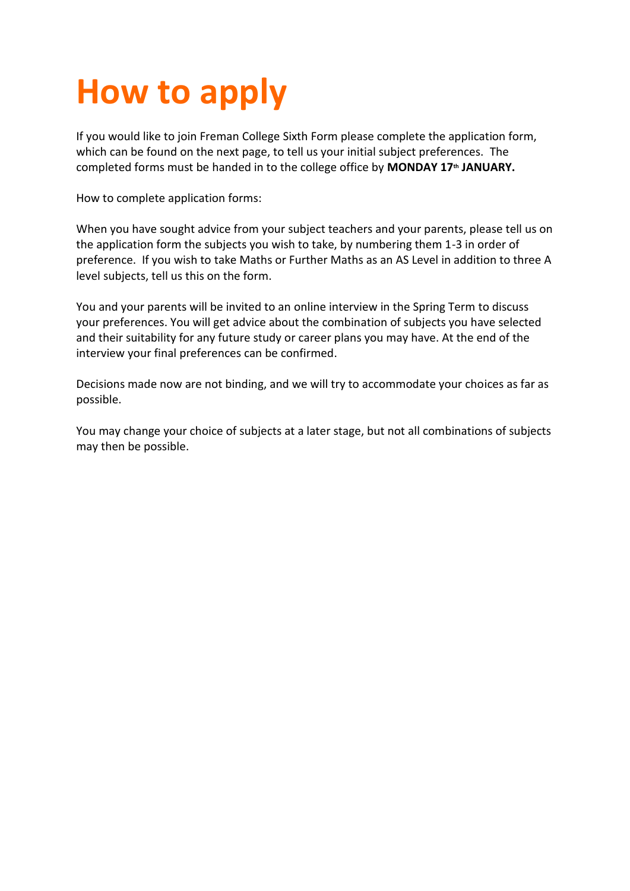## **How to apply**

If you would like to join Freman College Sixth Form please complete the application form, which can be found on the next page, to tell us your initial subject preferences. The completed forms must be handed in to the college office by **MONDAY 17th JANUARY.**

How to complete application forms:

When you have sought advice from your subject teachers and your parents, please tell us on the application form the subjects you wish to take, by numbering them 1-3 in order of preference. If you wish to take Maths or Further Maths as an AS Level in addition to three A level subjects, tell us this on the form.

You and your parents will be invited to an online interview in the Spring Term to discuss your preferences. You will get advice about the combination of subjects you have selected and their suitability for any future study or career plans you may have. At the end of the interview your final preferences can be confirmed.

Decisions made now are not binding, and we will try to accommodate your choices as far as possible.

You may change your choice of subjects at a later stage, but not all combinations of subjects may then be possible.